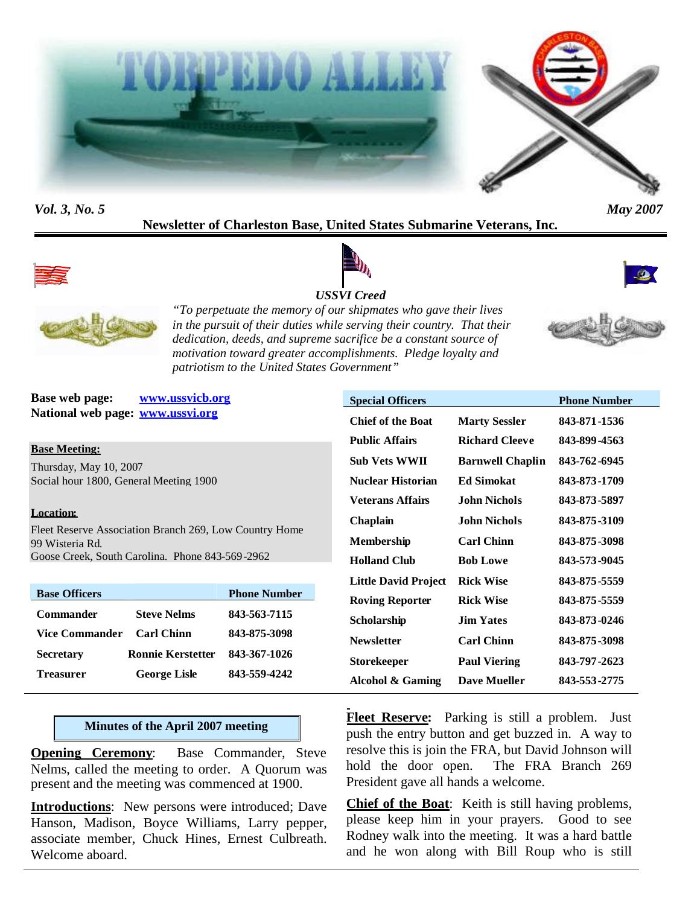



## *Vol. 3, No. 5 May 2007*

## **Newsletter of Charleston Base, United States Submarine Veterans, Inc.**



# *USSVI Creed*





*"To perpetuate the memory of our shipmates who gave their lives in the pursuit of their duties while serving their country. That their dedication, deeds, and supreme sacrifice be a constant source of motivation toward greater accomplishments. Pledge loyalty and patriotism to the United States Government"*

**Base web page: www.ussvicb.org National web page: www.ussvi.org**

**Base Meeting:**

Thursday, May 10, 2007 Social hour 1800, General Meeting 1900

#### **Location:**

Fleet Reserve Association Branch 269, Low Country Home 99 Wisteria Rd. Goose Creek, South Carolina. Phone 843-569-2962

| <b>Base Officers</b>  |                          | <b>Phone Number</b> |
|-----------------------|--------------------------|---------------------|
| Commander             | <b>Steve Nelms</b>       | 843-563-7115        |
| <b>Vice Commander</b> | <b>Carl Chinn</b>        | 843-875-3098        |
| <b>Secretary</b>      | <b>Ronnie Kerstetter</b> | 843-367-1026        |
| <b>Treasurer</b>      | <b>George Lisle</b>      | 843-559-4242        |

## **Minutes of the April 2007 meeting**

**Opening Ceremony:** Base Commander, Steve Nelms, called the meeting to order. A Quorum was present and the meeting was commenced at 1900.

**Introductions**: New persons were introduced; Dave Hanson, Madison, Boyce Williams, Larry pepper, associate member, Chuck Hines, Ernest Culbreath. Welcome aboard.

| <b>Special Officers</b>     |                         | <b>Phone Number</b> |
|-----------------------------|-------------------------|---------------------|
| <b>Chief of the Boat</b>    | <b>Marty Sessler</b>    | 843-871-1536        |
| <b>Public Affairs</b>       | <b>Richard Cleeve</b>   | 843-899-4563        |
| <b>Sub Vets WWII</b>        | <b>Barnwell Chaplin</b> | 843-762-6945        |
| <b>Nuclear Historian</b>    | <b>Ed Simokat</b>       | 843-873-1709        |
| Veterans Affairs            | John Nichols            | 843-873-5897        |
| Chaplain                    | John Nichols            | 843-875-3109        |
| Membership                  | <b>Carl Chinn</b>       | 843-875-3098        |
| <b>Holland Club</b>         | <b>Bob Lowe</b>         | 843-573-9045        |
| <b>Little David Project</b> | <b>Rick Wise</b>        | 843-875-5559        |
| <b>Roving Reporter</b>      | <b>Rick Wise</b>        | 843-875-5559        |
| Scholarship                 | <b>Jim Yates</b>        | 843-873-0246        |
| <b>Newsletter</b>           | <b>Carl Chinn</b>       | 843-875-3098        |
| Storekeeper                 | <b>Paul Viering</b>     | 843-797-2623        |
| <b>Alcohol &amp; Gaming</b> | <b>Dave Mueller</b>     | 843-553-2775        |

**Fleet Reserve:** Parking is still a problem. Just push the entry button and get buzzed in. A way to resolve this is join the FRA, but David Johnson will hold the door open. The FRA Branch 269 President gave all hands a welcome.

**Chief of the Boat**: Keith is still having problems, please keep him in your prayers. Good to see Rodney walk into the meeting. It was a hard battle and he won along with Bill Roup who is still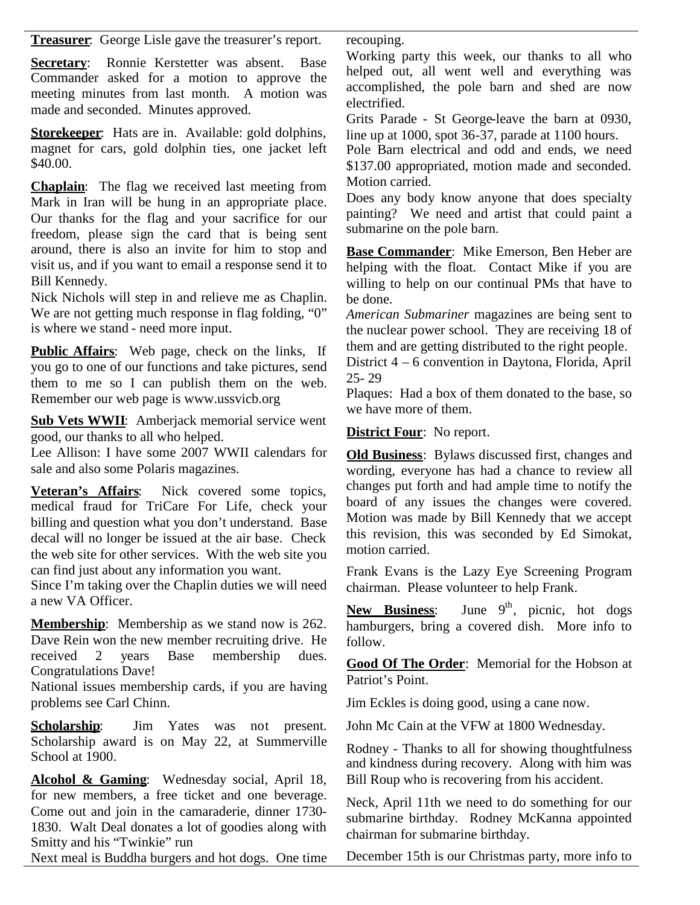**Treasurer**: George Lisle gave the treasurer's report.

**Secretary**: Ronnie Kerstetter was absent. Base Commander asked for a motion to approve the meeting minutes from last month. A motion was made and seconded. Minutes approved.

**Storekeeper**: Hats are in. Available: gold dolphins, magnet for cars, gold dolphin ties, one jacket left \$40.00.

**Chaplain**: The flag we received last meeting from Mark in Iran will be hung in an appropriate place. Our thanks for the flag and your sacrifice for our freedom, please sign the card that is being sent around, there is also an invite for him to stop and visit us, and if you want to email a response send it to Bill Kennedy.

Nick Nichols will step in and relieve me as Chaplin. We are not getting much response in flag folding, "0" is where we stand - need more input.

**Public Affairs**: Web page, check on the links, If you go to one of our functions and take pictures, send them to me so I can publish them on the web. Remember our web page is www.ussvicb.org

**Sub Vets WWII**: Amberjack memorial service went good, our thanks to all who helped.

Lee Allison: I have some 2007 WWII calendars for sale and also some Polaris magazines.

**Veteran's Affairs**: Nick covered some topics, medical fraud for TriCare For Life, check your billing and question what you don't understand. Base decal will no longer be issued at the air base. Check the web site for other services. With the web site you can find just about any information you want.

Since I'm taking over the Chaplin duties we will need a new VA Officer.

**Membership**: Membership as we stand now is 262. Dave Rein won the new member recruiting drive. He received 2 years Base membership dues. Congratulations Dave!

National issues membership cards, if you are having problems see Carl Chinn.

**Scholarship:** Jim Yates was not present. Scholarship award is on May 22, at Summerville School at 1900.

**Alcohol & Gaming**: Wednesday social, April 18, for new members, a free ticket and one beverage. Come out and join in the camaraderie, dinner 1730- 1830. Walt Deal donates a lot of goodies along with Smitty and his "Twinkie" run

Next meal is Buddha burgers and hot dogs. One time

recouping.

Working party this week, our thanks to all who helped out, all went well and everything was accomplished, the pole barn and shed are now electrified.

Grits Parade - St George-leave the barn at 0930, line up at 1000, spot 36-37, parade at 1100 hours.

Pole Barn electrical and odd and ends, we need \$137.00 appropriated, motion made and seconded. Motion carried.

Does any body know anyone that does specialty painting? We need and artist that could paint a submarine on the pole barn.

**Base Commander**: Mike Emerson, Ben Heber are helping with the float. Contact Mike if you are willing to help on our continual PMs that have to be done.

*American Submariner* magazines are being sent to the nuclear power school. They are receiving 18 of them and are getting distributed to the right people.

District 4 – 6 convention in Daytona, Florida, April 25- 29

Plaques: Had a box of them donated to the base, so we have more of them.

**District Four**: No report.

**Old Business**: Bylaws discussed first, changes and wording, everyone has had a chance to review all changes put forth and had ample time to notify the board of any issues the changes were covered. Motion was made by Bill Kennedy that we accept this revision, this was seconded by Ed Simokat, motion carried.

Frank Evans is the Lazy Eye Screening Program chairman. Please volunteer to help Frank.

**New Business:** June  $9<sup>th</sup>$ , picnic, hot dogs hamburgers, bring a covered dish. More info to follow.

**Good Of The Order**: Memorial for the Hobson at Patriot's Point.

Jim Eckles is doing good, using a cane now.

John Mc Cain at the VFW at 1800 Wednesday.

Rodney - Thanks to all for showing thoughtfulness and kindness during recovery. Along with him was Bill Roup who is recovering from his accident.

Neck, April 11th we need to do something for our submarine birthday. Rodney McKanna appointed chairman for submarine birthday.

December 15th is our Christmas party, more info to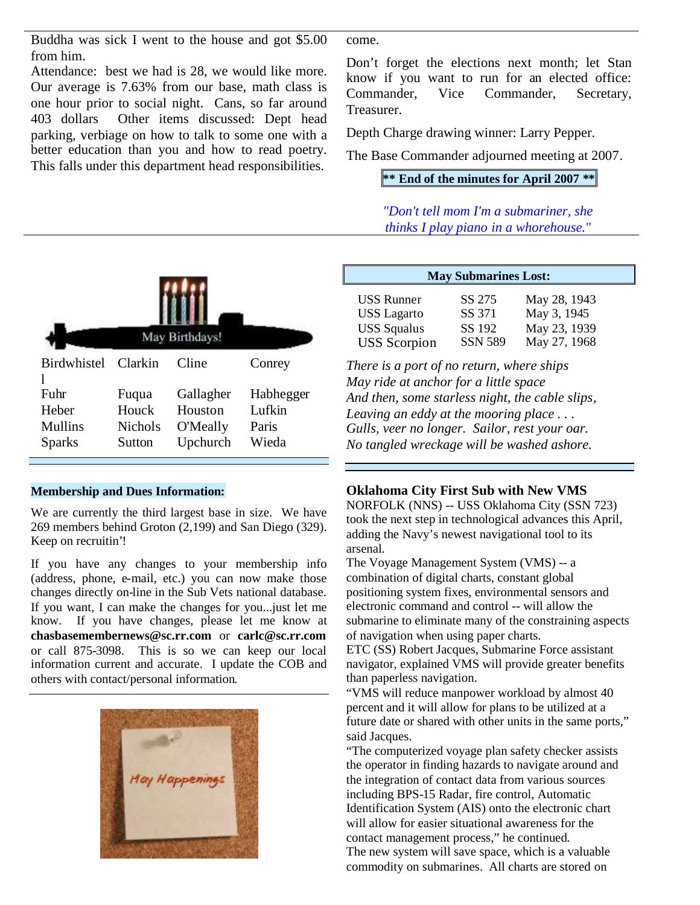Buddha was sick I went to the house and got \$5.00 from him.

Attendance: best we had is 28, we would like more. Our average is 7.63% from our base, math class is Commander, one hour prior to social night. Cans, so far around 403 dollars Other items discussed: Dept head parking, verbiage on how to talk to some one with a better education than you and how to read poetry. This falls under this department head responsibilities.

come.

Don't forget the elections next month; let Stan know if you want to run for an elected office: Vice Commander, Secretary, Treasurer.

Depth Charge drawing winner: Larry Pepper.

The Base Commander adjourned meeting at 2007.

# **\*\* End of the minutes for April 2007 \*\***

*"Don't tell mom I'm a submariner, she thinks I play piano in a whorehouse."*



#### **Membership and Dues Information:**

We are currently the third largest base in size. We have 269 members behind Groton (2,199) and San Diego (329). Keep on recruitin'!

If you have any changes to your membership info (address, phone, e-mail, etc.) you can now make those changes directly on-line in the Sub Vets national database. If you want, I can make the changes for you...just let me know. If you have changes, please let me know at **chasbasemembernews@sc.rr.com** or **carlc@sc.rr.com** or call 875-3098. This is so we can keep our local information current and accurate. I update the COB and others with contact/personal information.



| <b>May Submarines Lost:</b> |                |              |  |
|-----------------------------|----------------|--------------|--|
| <b>USS Runner</b>           | SS 275         | May 28, 1943 |  |
| <b>USS</b> Lagarto          | SS 371         | May 3, 1945  |  |
| <b>USS Squalus</b>          | SS 192         | May 23, 1939 |  |
| <b>USS</b> Scorpion         | <b>SSN 589</b> | May 27, 1968 |  |

*There is a port of no return, where ships May ride at anchor for a little space And then, some starless night, the cable slips, Leaving an eddy at the mooring place . . . Gulls, veer no longer. Sailor, rest your oar. No tangled wreckage will be washed ashore.*

## **Oklahoma City First Sub with New VMS**

NORFOLK (NNS) -- USS Oklahoma City (SSN 723) took the next step in technological advances this April, adding the Navy's newest navigational tool to its arsenal.

The Voyage Management System (VMS) -- a combination of digital charts, constant global positioning system fixes, environmental sensors and electronic command and control -- will allow the submarine to eliminate many of the constraining aspects of navigation when using paper charts.

ETC (SS) Robert Jacques, Submarine Force assistant navigator, explained VMS will provide greater benefits than paperless navigation.

"VMS will reduce manpower workload by almost 40 percent and it will allow for plans to be utilized at a future date or shared with other units in the same ports," said Jacques.

"The computerized voyage plan safety checker assists the operator in finding hazards to navigate around and the integration of contact data from various sources including BPS-15 Radar, fire control, Automatic Identification System (AIS) onto the electronic chart will allow for easier situational awareness for the contact management process," he continued. The new system will save space, which is a valuable commodity on submarines. All charts are stored on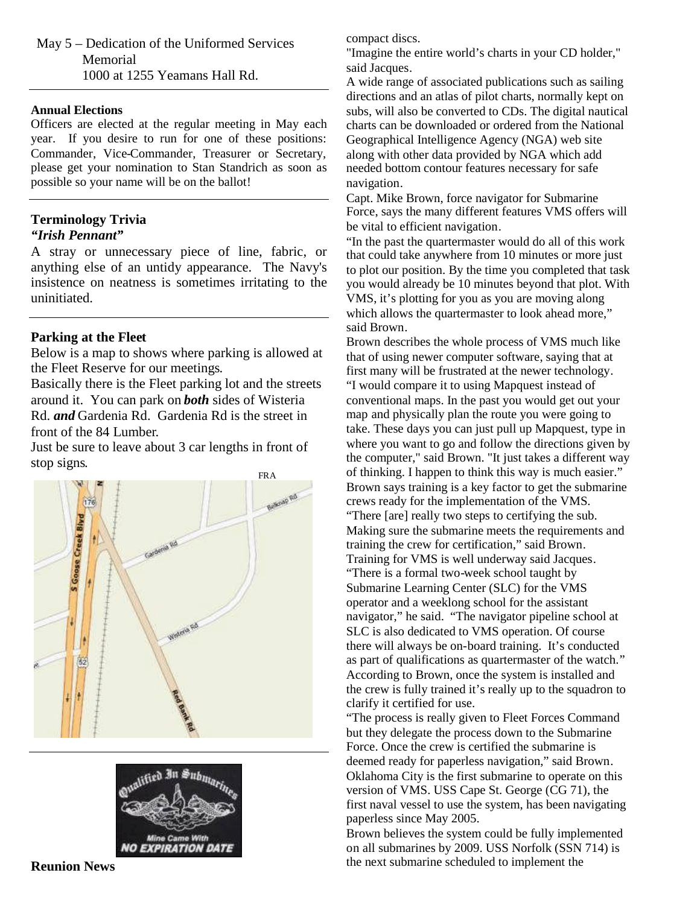May 5 – Dedication of the Uniformed Services Memorial 1000 at 1255 Yeamans Hall Rd.

#### **Annual Elections**

Officers are elected at the regular meeting in May each year. If you desire to run for one of these positions: Commander, Vice-Commander, Treasurer or Secretary, please get your nomination to Stan Standrich as soon as possible so your name will be on the ballot!

# **Terminology Trivia**

# *"Irish Pennant"*

A stray or unnecessary piece of line, fabric, or anything else of an untidy appearance. The Navy's insistence on neatness is sometimes irritating to the uninitiated.

## **Parking at the Fleet**

Below is a map to shows where parking is allowed at the Fleet Reserve for our meetings.

Basically there is the Fleet parking lot and the streets around it. You can park on *both* sides of Wisteria Rd. *and* Gardenia Rd. Gardenia Rd is the street in front of the 84 Lumber.

Just be sure to leave about 3 car lengths in front of stop signs.





compact discs.

"Imagine the entire world's charts in your CD holder," said Jacques.

A wide range of associated publications such as sailing directions and an atlas of pilot charts, normally kept on subs, will also be converted to CDs. The digital nautical charts can be downloaded or ordered from the National Geographical Intelligence Agency (NGA) web site along with other data provided by NGA which add needed bottom contour features necessary for safe navigation.

Capt. Mike Brown, force navigator for Submarine Force, says the many different features VMS offers will be vital to efficient navigation.

"In the past the quartermaster would do all of this work that could take anywhere from 10 minutes or more just to plot our position. By the time you completed that task you would already be 10 minutes beyond that plot. With VMS, it's plotting for you as you are moving along which allows the quartermaster to look ahead more," said Brown.

Brown describes the whole process of VMS much like that of using newer computer software, saying that at first many will be frustrated at the newer technology. "I would compare it to using Mapquest instead of conventional maps. In the past you would get out your map and physically plan the route you were going to take. These days you can just pull up Mapquest, type in where you want to go and follow the directions given by the computer," said Brown. "It just takes a different way of thinking. I happen to think this way is much easier." Brown says training is a key factor to get the submarine crews ready for the implementation of the VMS. "There [are] really two steps to certifying the sub. Making sure the submarine meets the requirements and training the crew for certification," said Brown. Training for VMS is well underway said Jacques. "There is a formal two-week school taught by Submarine Learning Center (SLC) for the VMS operator and a weeklong school for the assistant navigator," he said. "The navigator pipeline school at SLC is also dedicated to VMS operation. Of course there will always be on-board training. It's conducted as part of qualifications as quartermaster of the watch." According to Brown, once the system is installed and the crew is fully trained it's really up to the squadron to clarify it certified for use.

"The process is really given to Fleet Forces Command but they delegate the process down to the Submarine Force. Once the crew is certified the submarine is deemed ready for paperless navigation," said Brown. Oklahoma City is the first submarine to operate on this version of VMS. USS Cape St. George (CG 71), the first naval vessel to use the system, has been navigating paperless since May 2005.

Brown believes the system could be fully implemented on all submarines by 2009. USS Norfolk (SSN 714) is the next submarine scheduled to implement the

**Reunion News**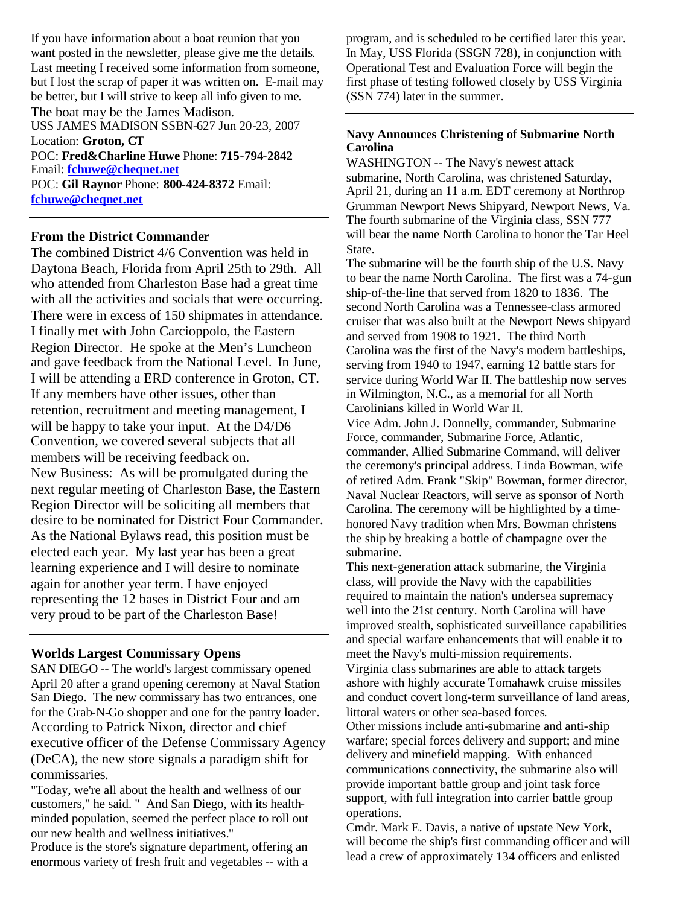If you have information about a boat reunion that you want posted in the newsletter, please give me the details. Last meeting I received some information from someone, but I lost the scrap of paper it was written on. E-mail may be better, but I will strive to keep all info given to me. The boat may be the James Madison. USS JAMES MADISON SSBN-627 Jun 20-23, 2007

Location: **Groton, CT**

POC: **Fred&Charline Huwe** Phone: **715-794-2842** Email: **fchuwe@cheqnet.net** POC: **Gil Raynor** Phone: **800-424-8372** Email: **fchuwe@cheqnet.net**

# **From the District Commander**

The combined District 4/6 Convention was held in Daytona Beach, Florida from April 25th to 29th. All who attended from Charleston Base had a great time with all the activities and socials that were occurring. There were in excess of 150 shipmates in attendance. I finally met with John Carcioppolo, the Eastern Region Director. He spoke at the Men's Luncheon and gave feedback from the National Level. In June, I will be attending a ERD conference in Groton, CT. If any members have other issues, other than retention, recruitment and meeting management, I will be happy to take your input. At the D4/D6 Convention, we covered several subjects that all members will be receiving feedback on. New Business: As will be promulgated during the next regular meeting of Charleston Base, the Eastern Region Director will be soliciting all members that desire to be nominated for District Four Commander. As the National Bylaws read, this position must be elected each year. My last year has been a great learning experience and I will desire to nominate again for another year term. I have enjoyed representing the 12 bases in District Four and am very proud to be part of the Charleston Base!

# **Worlds Largest Commissary Opens**

SAN DIEGO **--** The world's largest commissary opened April 20 after a grand opening ceremony at Naval Station San Diego. The new commissary has two entrances, one for the Grab-N-Go shopper and one for the pantry loader. According to Patrick Nixon, director and chief executive officer of the Defense Commissary Agency (DeCA), the new store signals a paradigm shift for commissaries.

"Today, we're all about the health and wellness of our customers," he said. " And San Diego, with its healthminded population, seemed the perfect place to roll out our new health and wellness initiatives."

Produce is the store's signature department, offering an enormous variety of fresh fruit and vegetables -- with a

program, and is scheduled to be certified later this year. In May, USS Florida (SSGN 728), in conjunction with Operational Test and Evaluation Force will begin the first phase of testing followed closely by USS Virginia (SSN 774) later in the summer.

## **Navy Announces Christening of Submarine North Carolina**

WASHINGTON -- The Navy's newest attack submarine, North Carolina, was christened Saturday, April 21, during an 11 a.m. EDT ceremony at Northrop Grumman Newport News Shipyard, Newport News, Va. The fourth submarine of the Virginia class, SSN 777 will bear the name North Carolina to honor the Tar Heel State.

The submarine will be the fourth ship of the U.S. Navy to bear the name North Carolina. The first was a 74-gun ship-of-the-line that served from 1820 to 1836. The second North Carolina was a Tennessee-class armored cruiser that was also built at the Newport News shipyard and served from 1908 to 1921. The third North Carolina was the first of the Navy's modern battleships, serving from 1940 to 1947, earning 12 battle stars for service during World War II. The battleship now serves in Wilmington, N.C., as a memorial for all North Carolinians killed in World War II.

Vice Adm. John J. Donnelly, commander, Submarine Force, commander, Submarine Force, Atlantic, commander, Allied Submarine Command, will deliver the ceremony's principal address. Linda Bowman, wife of retired Adm. Frank "Skip" Bowman, former director, Naval Nuclear Reactors, will serve as sponsor of North Carolina. The ceremony will be highlighted by a timehonored Navy tradition when Mrs. Bowman christens the ship by breaking a bottle of champagne over the submarine.

This next-generation attack submarine, the Virginia class, will provide the Navy with the capabilities required to maintain the nation's undersea supremacy well into the 21st century. North Carolina will have improved stealth, sophisticated surveillance capabilities and special warfare enhancements that will enable it to meet the Navy's multi-mission requirements. Virginia class submarines are able to attack targets ashore with highly accurate Tomahawk cruise missiles

and conduct covert long-term surveillance of land areas, littoral waters or other sea-based forces.

Other missions include anti-submarine and anti-ship warfare; special forces delivery and support; and mine delivery and minefield mapping. With enhanced communications connectivity, the submarine also will provide important battle group and joint task force support, with full integration into carrier battle group operations.

Cmdr. Mark E. Davis, a native of upstate New York, will become the ship's first commanding officer and will lead a crew of approximately 134 officers and enlisted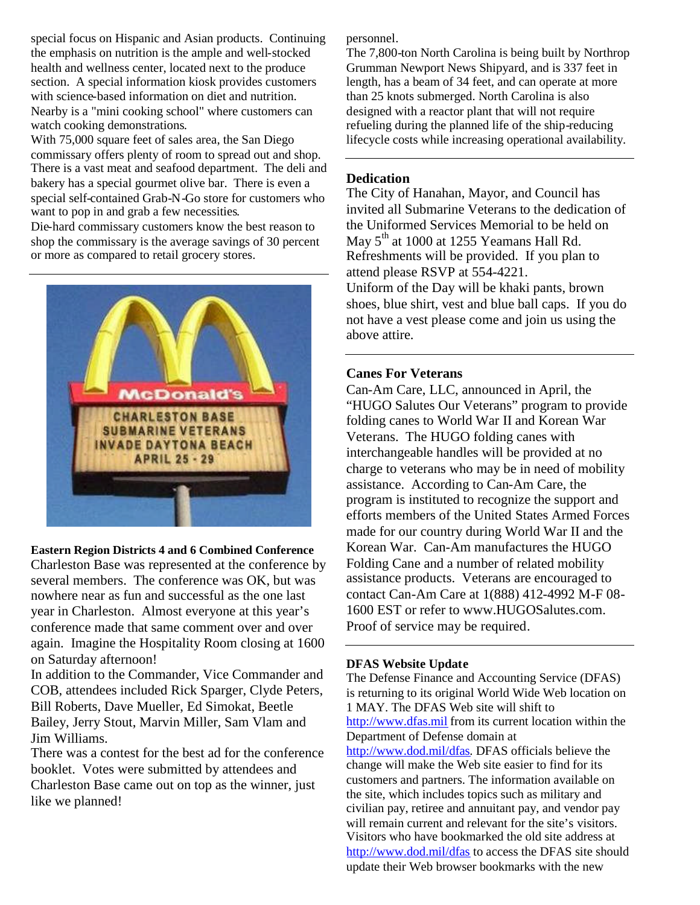special focus on Hispanic and Asian products. Continuing the emphasis on nutrition is the ample and well-stocked health and wellness center, located next to the produce section. A special information kiosk provides customers with science-based information on diet and nutrition. Nearby is a "mini cooking school" where customers can watch cooking demonstrations.

With 75,000 square feet of sales area, the San Diego commissary offers plenty of room to spread out and shop. There is a vast meat and seafood department. The deli and bakery has a special gourmet olive bar. There is even a special self-contained Grab-N-Go store for customers who want to pop in and grab a few necessities.

Die-hard commissary customers know the best reason to shop the commissary is the average savings of 30 percent or more as compared to retail grocery stores.



## **Eastern Region Districts 4 and 6 Combined Conference**

Charleston Base was represented at the conference by several members. The conference was OK, but was nowhere near as fun and successful as the one last year in Charleston. Almost everyone at this year's conference made that same comment over and over again. Imagine the Hospitality Room closing at 1600 on Saturday afternoon!

In addition to the Commander, Vice Commander and COB, attendees included Rick Sparger, Clyde Peters, Bill Roberts, Dave Mueller, Ed Simokat, Beetle Bailey, Jerry Stout, Marvin Miller, Sam Vlam and Jim Williams.

There was a contest for the best ad for the conference booklet. Votes were submitted by attendees and Charleston Base came out on top as the winner, just like we planned!

personnel.

The 7,800-ton North Carolina is being built by Northrop Grumman Newport News Shipyard, and is 337 feet in length, has a beam of 34 feet, and can operate at more than 25 knots submerged. North Carolina is also designed with a reactor plant that will not require refueling during the planned life of the ship-reducing lifecycle costs while increasing operational availability.

## **Dedication**

The City of Hanahan, Mayor, and Council has invited all Submarine Veterans to the dedication of the Uniformed Services Memorial to be held on May  $5<sup>th</sup>$  at 1000 at 1255 Yeamans Hall Rd. Refreshments will be provided. If you plan to attend please RSVP at 554-4221. Uniform of the Day will be khaki pants, brown shoes, blue shirt, vest and blue ball caps. If you do not have a vest please come and join us using the above attire.

# **Canes For Veterans**

Can-Am Care, LLC, announced in April, the "HUGO Salutes Our Veterans" program to provide folding canes to World War II and Korean War Veterans. The HUGO folding canes with interchangeable handles will be provided at no charge to veterans who may be in need of mobility assistance. According to Can-Am Care, the program is instituted to recognize the support and efforts members of the United States Armed Forces made for our country during World War II and the Korean War. Can-Am manufactures the HUGO Folding Cane and a number of related mobility assistance products. Veterans are encouraged to contact Can-Am Care at 1(888) 412-4992 M-F 08- 1600 EST or refer to www.HUGOSalutes.com. Proof of service may be required.

## **DFAS Website Update**

The Defense Finance and Accounting Service (DFAS) is returning to its original World Wide Web location on 1 MAY. The DFAS Web site will shift to http://www.dfas.mil from its current location within the Department of Defense domain at http://www.dod.mil/dfas. DFAS officials believe the change will make the Web site easier to find for its customers and partners. The information available on the site, which includes topics such as military and civilian pay, retiree and annuitant pay, and vendor pay will remain current and relevant for the site's visitors. Visitors who have bookmarked the old site address at http://www.dod.mil/dfas to access the DFAS site should update their Web browser bookmarks with the new